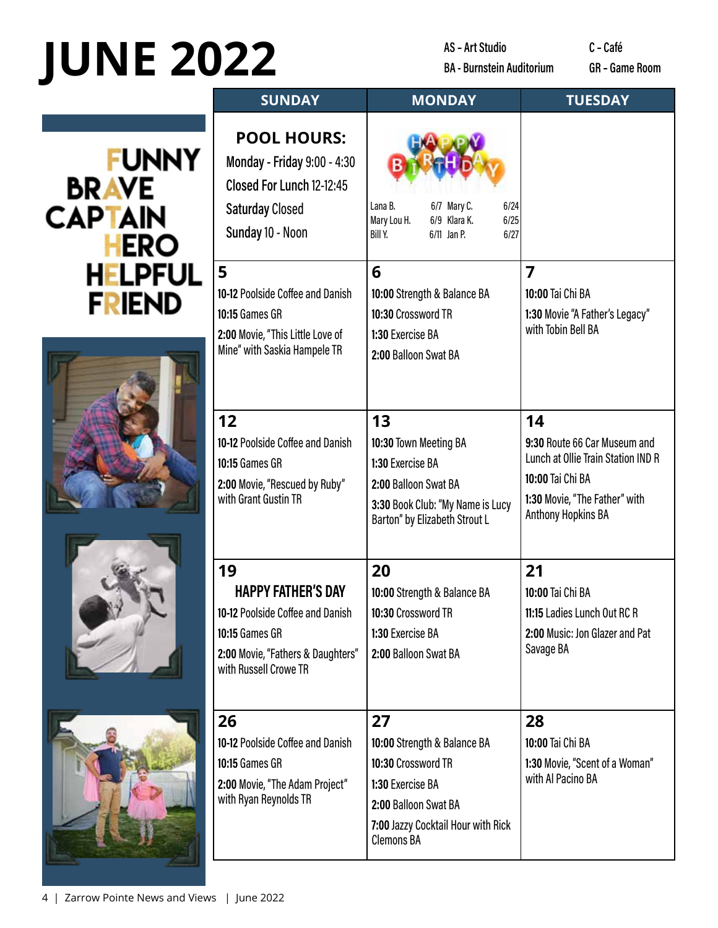## **JUNE 2022**

AS - Art Studio **BA - Burnstein Auditorium**  C-Café GR - Game Room

## **FUNNY BRAVE**<br>CAPTAIN **HERO HELPFUL FRIEND**







| <b>SUNDAY</b>                                                                                                                                       | <b>MONDAY</b>                                                                                                                                                  | <b>TUESDAY</b>                                                                                                                                             |  |
|-----------------------------------------------------------------------------------------------------------------------------------------------------|----------------------------------------------------------------------------------------------------------------------------------------------------------------|------------------------------------------------------------------------------------------------------------------------------------------------------------|--|
| <b>POOL HOURS:</b><br>Monday - Friday 9:00 - 4:30<br>Closed For Lunch 12-12:45<br><b>Saturday Closed</b><br>Sunday 10 - Noon                        | 6/24<br>Lana B.<br>6/7 Mary C.<br>6/9 Klara K.<br>6/25<br>Mary Lou H.<br>Bill Y.<br>6/11 Jan P.<br>6/27                                                        |                                                                                                                                                            |  |
| 5<br>10-12 Poolside Coffee and Danish<br>10:15 Games GR<br>2:00 Movie, "This Little Love of<br>Mine" with Saskia Hampele TR                         | 6<br>10:00 Strength & Balance BA<br>10:30 Crossword TR<br>1:30 Exercise BA<br>2:00 Balloon Swat BA                                                             | 7<br>10:00 Tai Chi BA<br>1:30 Movie "A Father's Legacy"<br>with Tobin Bell BA                                                                              |  |
| 12<br>10-12 Poolside Coffee and Danish<br>10:15 Games GR<br>2:00 Movie, "Rescued by Ruby"<br>with Grant Gustin TR                                   | 13<br>10:30 Town Meeting BA<br>1:30 Exercise BA<br>2:00 Balloon Swat BA<br>3:30 Book Club: "My Name is Lucy<br>Barton" by Elizabeth Strout L                   | 14<br>9:30 Route 66 Car Museum and<br>Lunch at Ollie Train Station IND R<br>10:00 Tai Chi BA<br>1:30 Movie, "The Father" with<br><b>Anthony Hopkins BA</b> |  |
| 19<br><b>HAPPY FATHER'S DAY</b><br>10-12 Poolside Coffee and Danish<br>10:15 Games GR<br>2:00 Movie, "Fathers & Daughters"<br>with Russell Crowe TR | 20<br>10:00 Strength & Balance BA<br>10:30 Crossword TR<br>1:30 Exercise BA<br>2:00 Balloon Swat BA                                                            | 21<br>10:00 Tai Chi BA<br>11:15 Ladies Lunch Out RC R<br>2:00 Music: Jon Glazer and Pat<br>Savage BA                                                       |  |
| 26<br>10-12 Poolside Coffee and Danish<br><b>10:15 Games GR</b><br>2:00 Movie, "The Adam Project"<br>with Ryan Reynolds TR                          | 27<br>10:00 Strength & Balance BA<br>10:30 Crossword TR<br>1:30 Exercise BA<br>2:00 Balloon Swat BA<br>7:00 Jazzy Cocktail Hour with Rick<br><b>Clemons BA</b> | 28<br>10:00 Tai Chi BA<br>1:30 Movie, "Scent of a Woman"<br>with Al Pacino BA                                                                              |  |